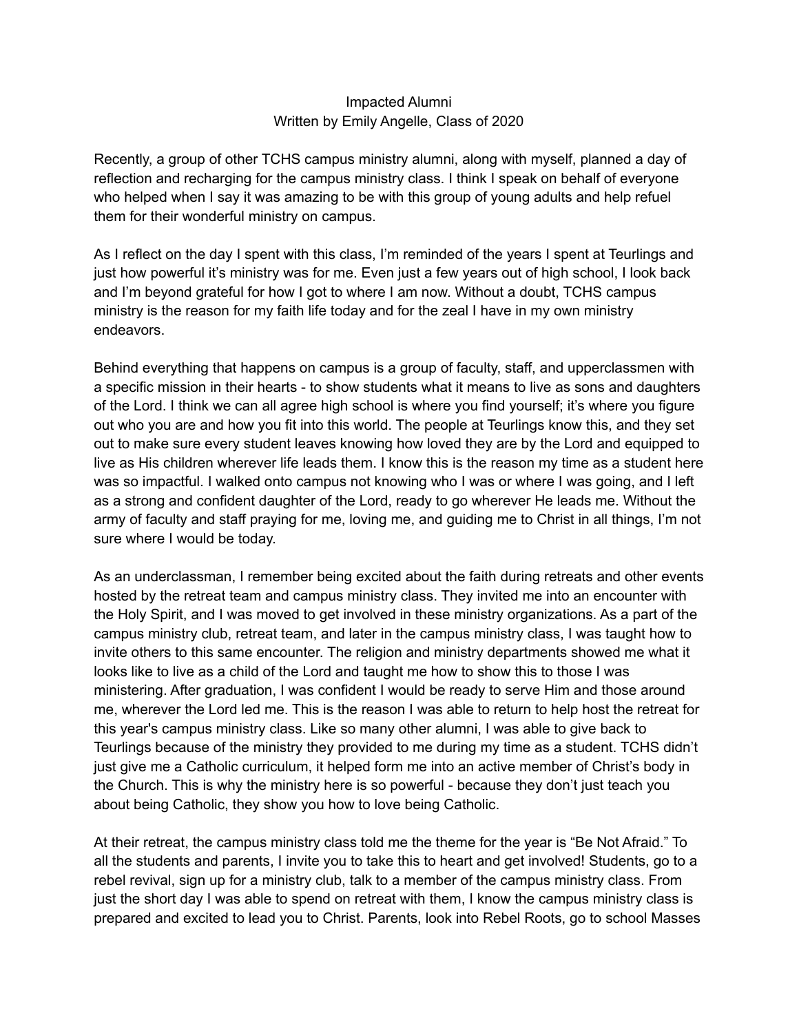## Impacted Alumni Written by Emily Angelle, Class of 2020

Recently, a group of other TCHS campus ministry alumni, along with myself, planned a day of reflection and recharging for the campus ministry class. I think I speak on behalf of everyone who helped when I say it was amazing to be with this group of young adults and help refuel them for their wonderful ministry on campus.

As I reflect on the day I spent with this class, I'm reminded of the years I spent at Teurlings and just how powerful it's ministry was for me. Even just a few years out of high school, I look back and I'm beyond grateful for how I got to where I am now. Without a doubt, TCHS campus ministry is the reason for my faith life today and for the zeal I have in my own ministry endeavors.

Behind everything that happens on campus is a group of faculty, staff, and upperclassmen with a specific mission in their hearts - to show students what it means to live as sons and daughters of the Lord. I think we can all agree high school is where you find yourself; it's where you figure out who you are and how you fit into this world. The people at Teurlings know this, and they set out to make sure every student leaves knowing how loved they are by the Lord and equipped to live as His children wherever life leads them. I know this is the reason my time as a student here was so impactful. I walked onto campus not knowing who I was or where I was going, and I left as a strong and confident daughter of the Lord, ready to go wherever He leads me. Without the army of faculty and staff praying for me, loving me, and guiding me to Christ in all things, I'm not sure where I would be today.

As an underclassman, I remember being excited about the faith during retreats and other events hosted by the retreat team and campus ministry class. They invited me into an encounter with the Holy Spirit, and I was moved to get involved in these ministry organizations. As a part of the campus ministry club, retreat team, and later in the campus ministry class, I was taught how to invite others to this same encounter. The religion and ministry departments showed me what it looks like to live as a child of the Lord and taught me how to show this to those I was ministering. After graduation, I was confident I would be ready to serve Him and those around me, wherever the Lord led me. This is the reason I was able to return to help host the retreat for this year's campus ministry class. Like so many other alumni, I was able to give back to Teurlings because of the ministry they provided to me during my time as a student. TCHS didn't just give me a Catholic curriculum, it helped form me into an active member of Christ's body in the Church. This is why the ministry here is so powerful - because they don't just teach you about being Catholic, they show you how to love being Catholic.

At their retreat, the campus ministry class told me the theme for the year is "Be Not Afraid." To all the students and parents, I invite you to take this to heart and get involved! Students, go to a rebel revival, sign up for a ministry club, talk to a member of the campus ministry class. From just the short day I was able to spend on retreat with them, I know the campus ministry class is prepared and excited to lead you to Christ. Parents, look into Rebel Roots, go to school Masses